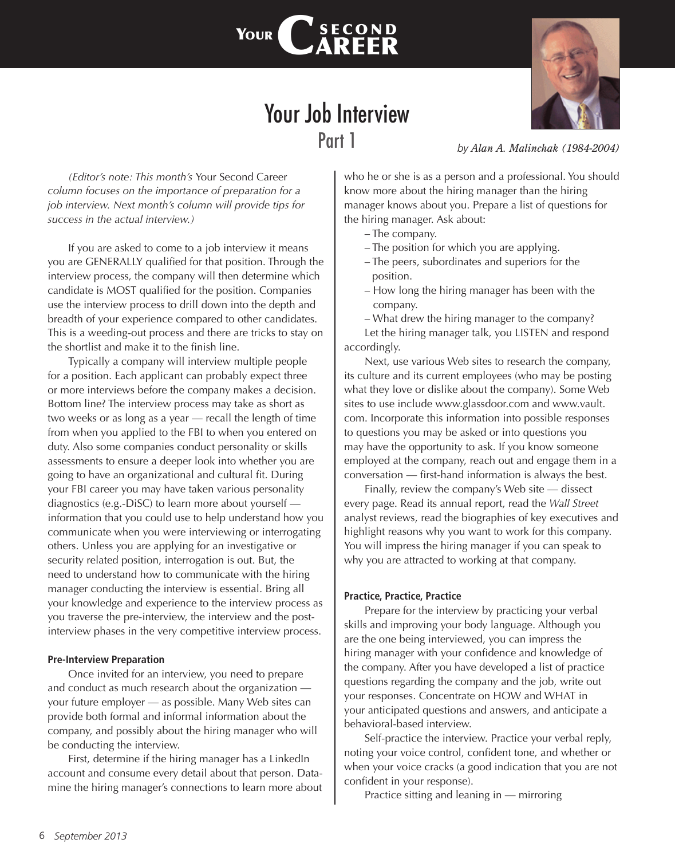

# Your Job Interview Part 1

*(Editor's note: This month's* Your Second Career *column focuses on the importance of preparation for a job interview. Next month's column will provide tips for success in the actual interview.)*

If you are asked to come to a job interview it means you are GENERALLY qualified for that position. Through the interview process, the company will then determine which candidate is MOST qualified for the position. Companies use the interview process to drill down into the depth and breadth of your experience compared to other candidates. This is a weeding-out process and there are tricks to stay on the shortlist and make it to the finish line.

Typically a company will interview multiple people for a position. Each applicant can probably expect three or more interviews before the company makes a decision. Bottom line? The interview process may take as short as two weeks or as long as a year — recall the length of time from when you applied to the FBI to when you entered on duty. Also some companies conduct personality or skills assessments to ensure a deeper look into whether you are going to have an organizational and cultural fit. During your FBI career you may have taken various personality diagnostics (e.g.-DiSC) to learn more about yourself information that you could use to help understand how you communicate when you were interviewing or interrogating others. Unless you are applying for an investigative or security related position, interrogation is out. But, the need to understand how to communicate with the hiring manager conducting the interview is essential. Bring all your knowledge and experience to the interview process as you traverse the pre-interview, the interview and the postinterview phases in the very competitive interview process.

#### **Pre-Interview Preparation**

Once invited for an interview, you need to prepare and conduct as much research about the organization your future employer — as possible. Many Web sites can provide both formal and informal information about the company, and possibly about the hiring manager who will be conducting the interview.

First, determine if the hiring manager has a LinkedIn account and consume every detail about that person. Datamine the hiring manager's connections to learn more about *by Alan A. Malinchak (1984-2004)*

who he or she is as a person and a professional. You should know more about the hiring manager than the hiring manager knows about you. Prepare a list of questions for the hiring manager. Ask about:

- The company.
- The position for which you are applying.
- The peers, subordinates and superiors for the position.
- How long the hiring manager has been with the company.

– What drew the hiring manager to the company?

Let the hiring manager talk, you LISTEN and respond accordingly.

Next, use various Web sites to research the company, its culture and its current employees (who may be posting what they love or dislike about the company). Some Web sites to use include www.glassdoor.com and www.vault. com. Incorporate this information into possible responses to questions you may be asked or into questions you may have the opportunity to ask. If you know someone employed at the company, reach out and engage them in a conversation — first-hand information is always the best.

Finally, review the company's Web site — dissect every page. Read its annual report, read the *Wall Street* analyst reviews, read the biographies of key executives and highlight reasons why you want to work for this company. You will impress the hiring manager if you can speak to why you are attracted to working at that company.

#### **Practice, Practice, Practice**

Prepare for the interview by practicing your verbal skills and improving your body language. Although you are the one being interviewed, you can impress the hiring manager with your confidence and knowledge of the company. After you have developed a list of practice questions regarding the company and the job, write out your responses. Concentrate on HOW and WHAT in your anticipated questions and answers, and anticipate a behavioral-based interview.

Self-practice the interview. Practice your verbal reply, noting your voice control, confident tone, and whether or when your voice cracks (a good indication that you are not confident in your response).

Practice sitting and leaning in — mirroring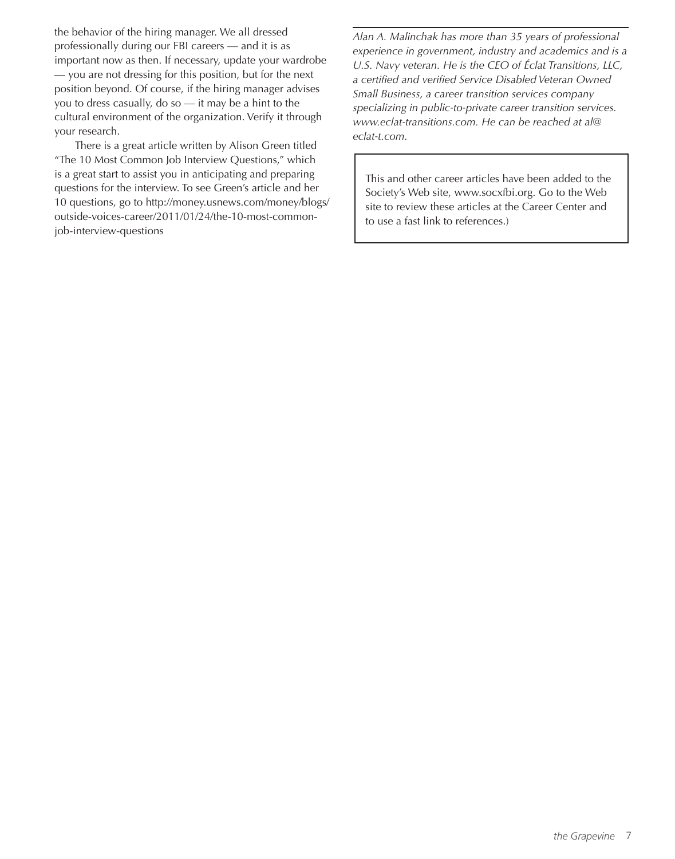the behavior of the hiring manager. We all dressed professionally during our FBI careers — and it is as important now as then. If necessary, update your wardrobe — you are not dressing for this position, but for the next position beyond. Of course, if the hiring manager advises you to dress casually, do so  $-$  it may be a hint to the cultural environment of the organization. Verify it through your research.

There is a great article written by Alison Green titled "The 10 Most Common Job Interview Questions," which is a great start to assist you in anticipating and preparing questions for the interview. To see Green's article and her 10 questions, go to http://money.usnews.com/money/blogs/ outside-voices-career/2011/01/24/the-10-most-commonjob-interview-questions

*Alan A. Malinchak has more than 35 years of professional experience in government, industry and academics and is a U.S. Navy veteran. He is the CEO of Éclat Transitions, LLC, a certified and verified Service Disabled Veteran Owned Small Business, a career transition services company specializing in public-to-private career transition services. www.eclat-transitions.com. He can be reached at al@ eclat-t.com.*

This and other career articles have been added to the Society's Web site, www.socxfbi.org. Go to the Web site to review these articles at the Career Center and to use a fast link to references.)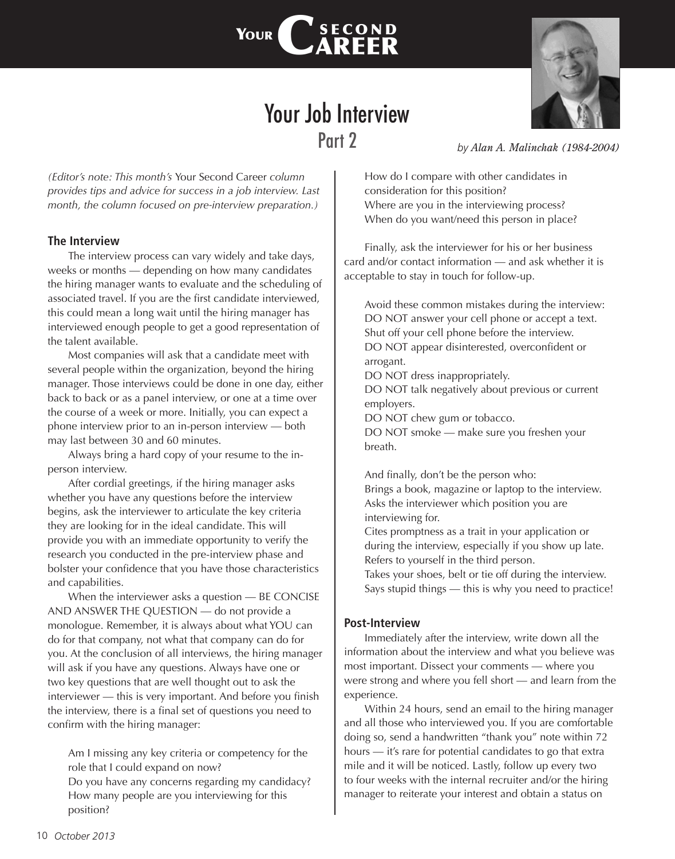



## Your Job Interview Part 2

*(Editor's note: This month's* Your Second Career *column provides tips and advice for success in a job interview. Last month, the column focused on pre-interview preparation.)*

## **The Interview**

The interview process can vary widely and take days, weeks or months — depending on how many candidates the hiring manager wants to evaluate and the scheduling of associated travel. If you are the first candidate interviewed, this could mean a long wait until the hiring manager has interviewed enough people to get a good representation of the talent available.

Most companies will ask that a candidate meet with several people within the organization, beyond the hiring manager. Those interviews could be done in one day, either back to back or as a panel interview, or one at a time over the course of a week or more. Initially, you can expect a phone interview prior to an in-person interview — both may last between 30 and 60 minutes.

Always bring a hard copy of your resume to the inperson interview.

After cordial greetings, if the hiring manager asks whether you have any questions before the interview begins, ask the interviewer to articulate the key criteria they are looking for in the ideal candidate. This will provide you with an immediate opportunity to verify the research you conducted in the pre-interview phase and bolster your confidence that you have those characteristics and capabilities.

When the interviewer asks a question — BE CONCISE AND ANSWER THE QUESTION — do not provide a monologue. Remember, it is always about what YOU can do for that company, not what that company can do for you. At the conclusion of all interviews, the hiring manager will ask if you have any questions. Always have one or two key questions that are well thought out to ask the interviewer — this is very important. And before you finish the interview, there is a final set of questions you need to confirm with the hiring manager:

Am I missing any key criteria or competency for the role that I could expand on now?

Do you have any concerns regarding my candidacy? How many people are you interviewing for this position?

*by Alan A. Malinchak (1984-2004)*

How do I compare with other candidates in consideration for this position? Where are you in the interviewing process? When do you want/need this person in place?

Finally, ask the interviewer for his or her business card and/or contact information — and ask whether it is acceptable to stay in touch for follow-up.

Avoid these common mistakes during the interview: DO NOT answer your cell phone or accept a text. Shut off your cell phone before the interview. DO NOT appear disinterested, overconfident or arrogant.

DO NOT dress inappropriately.

DO NOT talk negatively about previous or current employers.

DO NOT chew gum or tobacco.

DO NOT smoke — make sure you freshen your breath.

And finally, don't be the person who: Brings a book, magazine or laptop to the interview. Asks the interviewer which position you are interviewing for.

Cites promptness as a trait in your application or during the interview, especially if you show up late. Refers to yourself in the third person.

Takes your shoes, belt or tie off during the interview. Says stupid things — this is why you need to practice!

### **Post-Interview**

Immediately after the interview, write down all the information about the interview and what you believe was most important. Dissect your comments — where you were strong and where you fell short — and learn from the experience.

Within 24 hours, send an email to the hiring manager and all those who interviewed you. If you are comfortable doing so, send a handwritten "thank you" note within 72 hours — it's rare for potential candidates to go that extra mile and it will be noticed. Lastly, follow up every two to four weeks with the internal recruiter and/or the hiring manager to reiterate your interest and obtain a status on